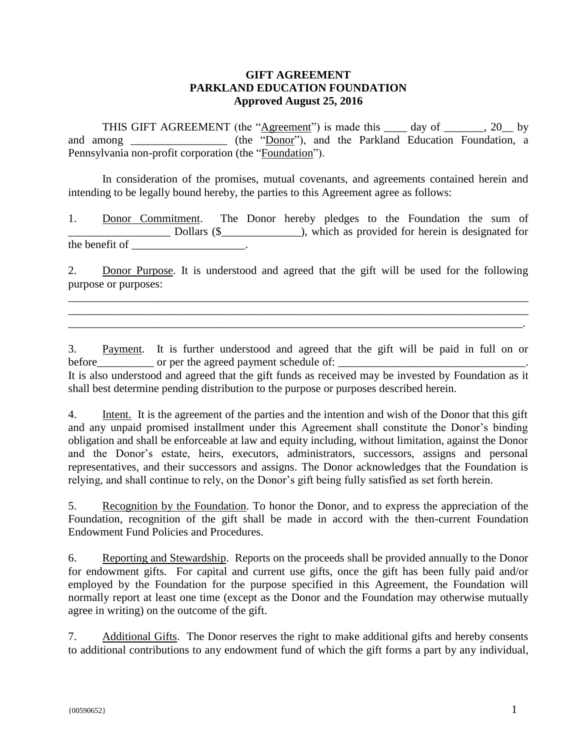## **GIFT AGREEMENT PARKLAND EDUCATION FOUNDATION Approved August 25, 2016**

THIS GIFT AGREEMENT (the "Agreement") is made this day of 3.20 by and among \_\_\_\_\_\_\_\_\_\_\_\_\_\_\_\_\_ (the "Donor"), and the Parkland Education Foundation, a Pennsylvania non-profit corporation (the "Foundation").

In consideration of the promises, mutual covenants, and agreements contained herein and intending to be legally bound hereby, the parties to this Agreement agree as follows:

1. Donor Commitment. The Donor hereby pledges to the Foundation the sum of \_\_\_\_\_\_\_\_\_\_\_\_\_\_\_\_\_\_ Dollars (\$\_\_\_\_\_\_\_\_\_\_\_\_\_\_), which as provided for herein is designated for the benefit of  $\blacksquare$ 

2. Donor Purpose. It is understood and agreed that the gift will be used for the following purpose or purposes:

\_\_\_\_\_\_\_\_\_\_\_\_\_\_\_\_\_\_\_\_\_\_\_\_\_\_\_\_\_\_\_\_\_\_\_\_\_\_\_\_\_\_\_\_\_\_\_\_\_\_\_\_\_\_\_\_\_\_\_\_\_\_\_\_\_\_\_\_\_\_\_\_\_\_\_\_\_\_\_\_\_ \_\_\_\_\_\_\_\_\_\_\_\_\_\_\_\_\_\_\_\_\_\_\_\_\_\_\_\_\_\_\_\_\_\_\_\_\_\_\_\_\_\_\_\_\_\_\_\_\_\_\_\_\_\_\_\_\_\_\_\_\_\_\_\_\_\_\_\_\_\_\_\_\_\_\_\_\_\_\_\_\_ \_\_\_\_\_\_\_\_\_\_\_\_\_\_\_\_\_\_\_\_\_\_\_\_\_\_\_\_\_\_\_\_\_\_\_\_\_\_\_\_\_\_\_\_\_\_\_\_\_\_\_\_\_\_\_\_\_\_\_\_\_\_\_\_\_\_\_\_\_\_\_\_\_\_\_\_\_\_\_\_.

3. Payment. It is further understood and agreed that the gift will be paid in full on or before \_\_\_\_\_\_\_\_\_ or per the agreed payment schedule of:

It is also understood and agreed that the gift funds as received may be invested by Foundation as it shall best determine pending distribution to the purpose or purposes described herein.

4. Intent. It is the agreement of the parties and the intention and wish of the Donor that this gift and any unpaid promised installment under this Agreement shall constitute the Donor's binding obligation and shall be enforceable at law and equity including, without limitation, against the Donor and the Donor's estate, heirs, executors, administrators, successors, assigns and personal representatives, and their successors and assigns. The Donor acknowledges that the Foundation is relying, and shall continue to rely, on the Donor's gift being fully satisfied as set forth herein.

5. Recognition by the Foundation. To honor the Donor, and to express the appreciation of the Foundation, recognition of the gift shall be made in accord with the then-current Foundation Endowment Fund Policies and Procedures.

6. Reporting and Stewardship. Reports on the proceeds shall be provided annually to the Donor for endowment gifts. For capital and current use gifts, once the gift has been fully paid and/or employed by the Foundation for the purpose specified in this Agreement, the Foundation will normally report at least one time (except as the Donor and the Foundation may otherwise mutually agree in writing) on the outcome of the gift.

7. Additional Gifts. The Donor reserves the right to make additional gifts and hereby consents to additional contributions to any endowment fund of which the gift forms a part by any individual,